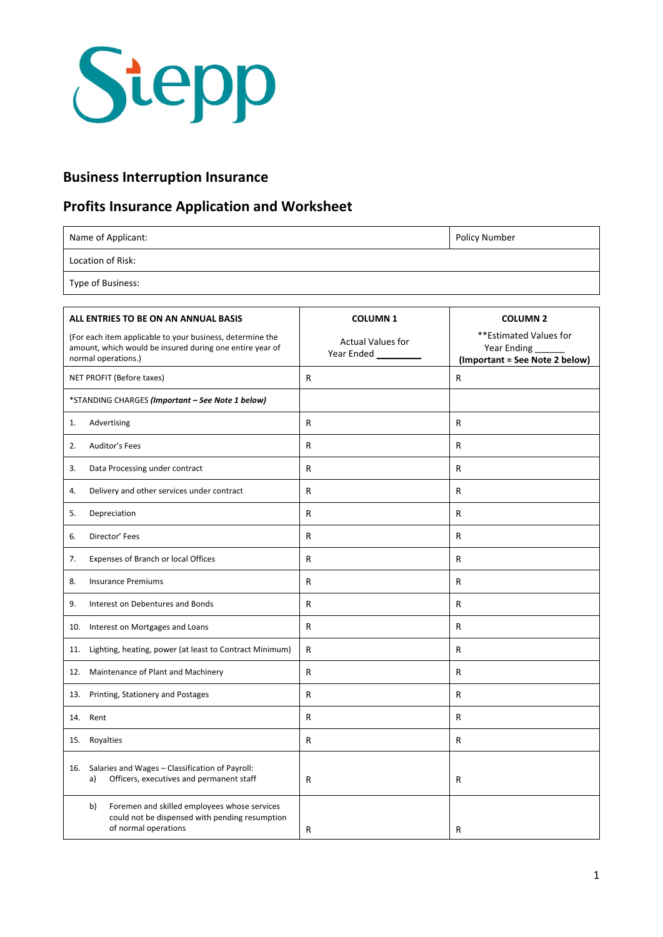

## **Business Interruption Insurance**

## **Profits Insurance Application and Worksheet**

Name of Applicant: Policy Number

Location of Risk:

Type of Business:

| ALL ENTRIES TO BE ON AN ANNUAL BASIS                                                                                                         | <b>COLUMN1</b>                         | <b>COLUMN 2</b>                                                         |
|----------------------------------------------------------------------------------------------------------------------------------------------|----------------------------------------|-------------------------------------------------------------------------|
| (For each item applicable to your business, determine the<br>amount, which would be insured during one entire year of<br>normal operations.) | <b>Actual Values for</b><br>Year Ended | **Estimated Values for<br>Year Ending<br>(Important = See Note 2 below) |
| NET PROFIT (Before taxes)                                                                                                                    | R                                      | R                                                                       |
| *STANDING CHARGES (Important - See Note 1 below)                                                                                             |                                        |                                                                         |
| Advertising<br>1.                                                                                                                            | R                                      | R                                                                       |
| Auditor's Fees<br>2.                                                                                                                         | R                                      | R                                                                       |
| Data Processing under contract<br>3.                                                                                                         | R                                      | R                                                                       |
| Delivery and other services under contract<br>4.                                                                                             | R                                      | R                                                                       |
| 5.<br>Depreciation                                                                                                                           | R                                      | R                                                                       |
| Director' Fees<br>6.                                                                                                                         | R                                      | R                                                                       |
| 7.<br>Expenses of Branch or local Offices                                                                                                    | R                                      | R                                                                       |
| <b>Insurance Premiums</b><br>8.                                                                                                              | R                                      | R                                                                       |
| 9.<br>Interest on Debentures and Bonds                                                                                                       | R                                      | R                                                                       |
| Interest on Mortgages and Loans<br>10.                                                                                                       | R                                      | R                                                                       |
| Lighting, heating, power (at least to Contract Minimum)<br>11.                                                                               | R                                      | R                                                                       |
| Maintenance of Plant and Machinery<br>12.                                                                                                    | R                                      | R                                                                       |
| Printing, Stationery and Postages<br>13.                                                                                                     | R                                      | R                                                                       |
| 14.<br>Rent                                                                                                                                  | R                                      | R                                                                       |
| 15. Royalties                                                                                                                                | R                                      | R                                                                       |
| 16. Salaries and Wages - Classification of Payroll:<br>Officers, executives and permanent staff<br>a)                                        | R                                      | R                                                                       |
| Foremen and skilled employees whose services<br>b)<br>could not be dispensed with pending resumption<br>of normal operations                 | R                                      | R                                                                       |